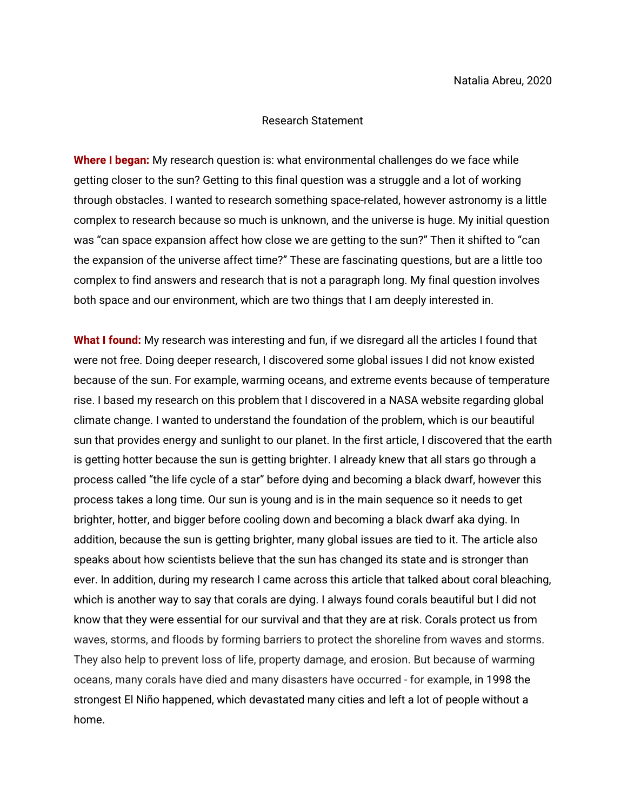## Research Statement

**Where I began:** My research question is: what environmental challenges do we face while getting closer to the sun? Getting to this final question was a struggle and a lot of working through obstacles. I wanted to research something space-related, however astronomy is a little complex to research because so much is unknown, and the universe is huge. My initial question was "can space expansion affect how close we are getting to the sun?" Then it shifted to "can the expansion of the universe affect time?" These are fascinating questions, but are a little too complex to find answers and research that is not a paragraph long. My final question involves both space and our environment, which are two things that I am deeply interested in.

**What I found:** My research was interesting and fun, if we disregard all the articles I found that were not free. Doing deeper research, I discovered some global issues I did not know existed because of the sun. For example, warming oceans, and extreme events because of temperature rise. I based my research on this problem that I discovered in a NASA website regarding global climate change. I wanted to understand the foundation of the problem, which is our beautiful sun that provides energy and sunlight to our planet. In the first article, I discovered that the earth is getting hotter because the sun is getting brighter. I already knew that all stars go through a process called "the life cycle of a star" before dying and becoming a black dwarf, however this process takes a long time. Our sun is young and is in the main sequence so it needs to get brighter, hotter, and bigger before cooling down and becoming a black dwarf aka dying. In addition, because the sun is getting brighter, many global issues are tied to it. The article also speaks about how scientists believe that the sun has changed its state and is stronger than ever. In addition, during my research I came across this article that talked about coral bleaching, which is another way to say that corals are dying. I always found corals beautiful but I did not know that they were essential for our survival and that they are at risk. Corals protect us from waves, storms, and floods by forming barriers to protect the shoreline from waves and storms. They also help to prevent loss of life, property damage, and erosion. But because of warming oceans, many corals have died and many disasters have occurred - for example, in 1998 the strongest El Niño happened, which devastated many cities and left a lot of people without a home.